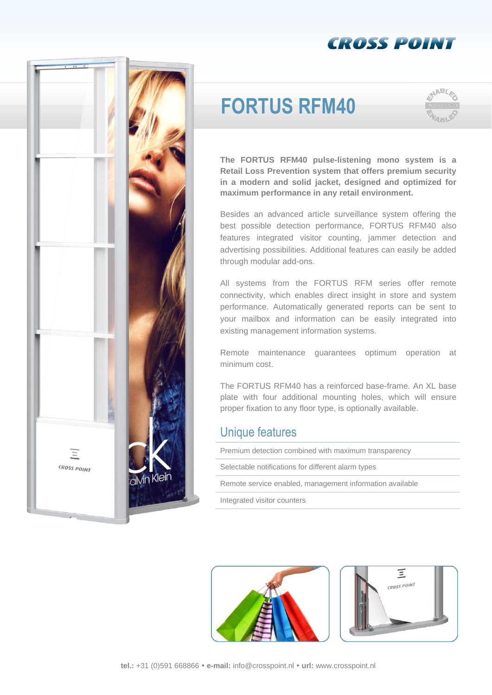### **CROSS POINT**



# **FORTUS RFM40**



**The FORTUS RFM40 pulse-listening mono system is a Retail Loss Prevention system that offers premium security in a modern and solid jacket, designed and optimized for maximum performance in any retail environment.**

Besides an advanced article surveillance system offering the best possible detection performance, FORTUS RFM40 also features integrated visitor counting, jammer detection and advertising possibilities. Additional features can easily be added through modular add-ons.

All systems from the FORTUS RFM series offer remote connectivity, which enables direct insight in store and system performance. Automatically generated reports can be sent to your mailbox and information can be easily integrated into existing management information systems.

Remote maintenance guarantees optimum operation at minimum cost.

The FORTUS RFM40 has a reinforced base-frame. An XL base plate with four additional mounting holes, which will ensure proper fixation to any floor type, is optionally available.

### Unique features

Premium detection combined with maximum transparency

Selectable notifications for different alarm types

Remote service enabled, management information available

Integrated visitor counters